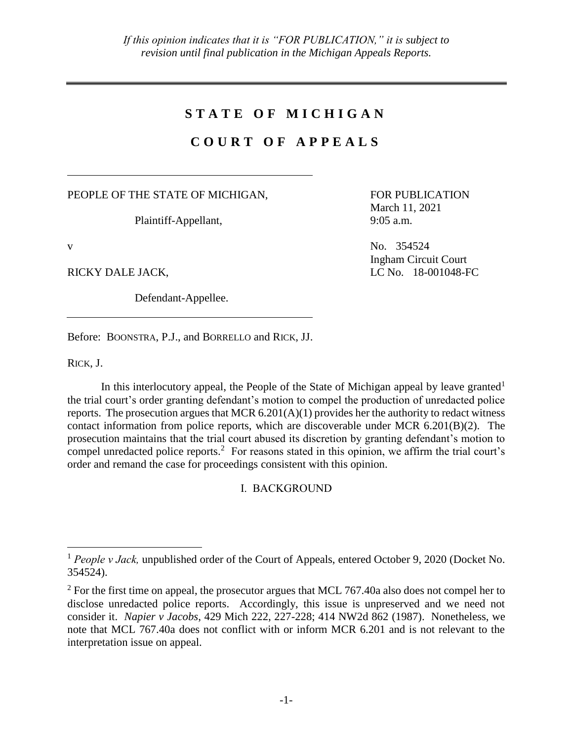## **S T A T E O F M I C H I G A N**

## **C O U R T O F A P P E A L S**

PEOPLE OF THE STATE OF MICHIGAN,

Plaintiff-Appellant,

Defendant-Appellee.

FOR PUBLICATION March 11, 2021 9:05 a.m.

v No. 354524 Ingham Circuit Court RICKY DALE JACK, LC No. 18-001048-FC

Before: BOONSTRA, P.J., and BORRELLO and RICK, JJ.

RICK, J.

 $\overline{a}$ 

In this interlocutory appeal, the People of the State of Michigan appeal by leave granted<sup>1</sup> the trial court's order granting defendant's motion to compel the production of unredacted police reports. The prosecution argues that MCR  $6.201(A)(1)$  provides her the authority to redact witness contact information from police reports, which are discoverable under MCR  $6.201(B)(2)$ . The prosecution maintains that the trial court abused its discretion by granting defendant's motion to compel unredacted police reports. 2 For reasons stated in this opinion, we affirm the trial court's order and remand the case for proceedings consistent with this opinion.

I. BACKGROUND

<sup>&</sup>lt;sup>1</sup> People v Jack, unpublished order of the Court of Appeals, entered October 9, 2020 (Docket No. 354524).

 $2^2$  For the first time on appeal, the prosecutor argues that MCL 767.40a also does not compel her to disclose unredacted police reports. Accordingly, this issue is unpreserved and we need not consider it. *Napier v Jacobs*, 429 Mich 222, 227-228; 414 NW2d 862 (1987). Nonetheless, we note that MCL 767.40a does not conflict with or inform MCR 6.201 and is not relevant to the interpretation issue on appeal.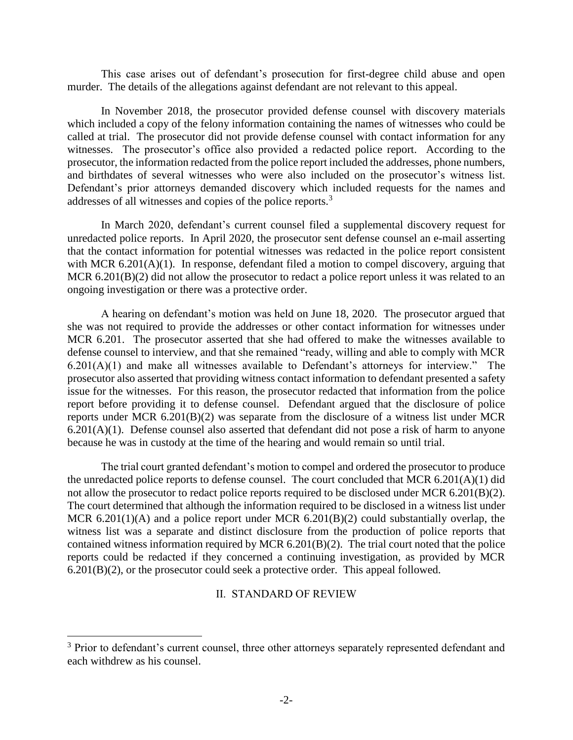This case arises out of defendant's prosecution for first-degree child abuse and open murder. The details of the allegations against defendant are not relevant to this appeal.

In November 2018, the prosecutor provided defense counsel with discovery materials which included a copy of the felony information containing the names of witnesses who could be called at trial. The prosecutor did not provide defense counsel with contact information for any witnesses. The prosecutor's office also provided a redacted police report. According to the prosecutor, the information redacted from the police report included the addresses, phone numbers, and birthdates of several witnesses who were also included on the prosecutor's witness list. Defendant's prior attorneys demanded discovery which included requests for the names and addresses of all witnesses and copies of the police reports.<sup>3</sup>

In March 2020, defendant's current counsel filed a supplemental discovery request for unredacted police reports. In April 2020, the prosecutor sent defense counsel an e-mail asserting that the contact information for potential witnesses was redacted in the police report consistent with MCR 6.201(A)(1). In response, defendant filed a motion to compel discovery, arguing that MCR 6.201(B)(2) did not allow the prosecutor to redact a police report unless it was related to an ongoing investigation or there was a protective order.

A hearing on defendant's motion was held on June 18, 2020. The prosecutor argued that she was not required to provide the addresses or other contact information for witnesses under MCR 6.201. The prosecutor asserted that she had offered to make the witnesses available to defense counsel to interview, and that she remained "ready, willing and able to comply with MCR  $6.201(A)(1)$  and make all witnesses available to Defendant's attorneys for interview." The prosecutor also asserted that providing witness contact information to defendant presented a safety issue for the witnesses. For this reason, the prosecutor redacted that information from the police report before providing it to defense counsel. Defendant argued that the disclosure of police reports under MCR 6.201(B)(2) was separate from the disclosure of a witness list under MCR  $6.201(A)(1)$ . Defense counsel also asserted that defendant did not pose a risk of harm to anyone because he was in custody at the time of the hearing and would remain so until trial.

The trial court granted defendant's motion to compel and ordered the prosecutor to produce the unredacted police reports to defense counsel. The court concluded that MCR 6.201(A)(1) did not allow the prosecutor to redact police reports required to be disclosed under MCR 6.201(B)(2). The court determined that although the information required to be disclosed in a witness list under MCR  $6.201(1)(A)$  and a police report under MCR  $6.201(B)(2)$  could substantially overlap, the witness list was a separate and distinct disclosure from the production of police reports that contained witness information required by MCR 6.201(B)(2). The trial court noted that the police reports could be redacted if they concerned a continuing investigation, as provided by MCR 6.201(B)(2), or the prosecutor could seek a protective order. This appeal followed.

II. STANDARD OF REVIEW

 $\overline{a}$ 

<sup>&</sup>lt;sup>3</sup> Prior to defendant's current counsel, three other attorneys separately represented defendant and each withdrew as his counsel.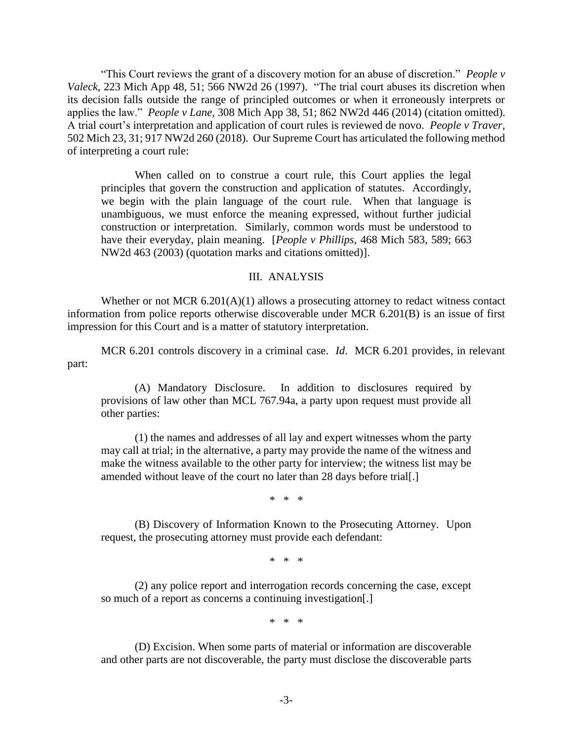"This Court reviews the grant of a discovery motion for an abuse of discretion." *People v Valeck*, 223 Mich App 48, 51; 566 NW2d 26 (1997). "The trial court abuses its discretion when its decision falls outside the range of principled outcomes or when it erroneously interprets or applies the law." *People v Lane*, 308 Mich App 38, 51; 862 NW2d 446 (2014) (citation omitted). A trial court's interpretation and application of court rules is reviewed de novo. *People v Traver*, 502 Mich 23, 31; 917 NW2d 260 (2018). Our Supreme Court has articulated the following method of interpreting a court rule:

When called on to construe a court rule, this Court applies the legal principles that govern the construction and application of statutes. Accordingly, we begin with the plain language of the court rule. When that language is unambiguous, we must enforce the meaning expressed, without further judicial construction or interpretation. Similarly, common words must be understood to have their everyday, plain meaning. [*People v Phillips*, 468 Mich 583, 589; 663 NW2d 463 (2003) (quotation marks and citations omitted)].

## III. ANALYSIS

Whether or not MCR 6.201(A)(1) allows a prosecuting attorney to redact witness contact information from police reports otherwise discoverable under MCR 6.201(B) is an issue of first impression for this Court and is a matter of statutory interpretation.

MCR 6.201 controls discovery in a criminal case. *Id*. MCR 6.201 provides, in relevant part:

(A) Mandatory Disclosure. In addition to disclosures required by provisions of law other than MCL 767.94a, a party upon request must provide all other parties:

(1) the names and addresses of all lay and expert witnesses whom the party may call at trial; in the alternative, a party may provide the name of the witness and make the witness available to the other party for interview; the witness list may be amended without leave of the court no later than 28 days before trial[.]

\* \* \*

(B) Discovery of Information Known to the Prosecuting Attorney. Upon request, the prosecuting attorney must provide each defendant:

\* \* \*

(2) any police report and interrogation records concerning the case, except so much of a report as concerns a continuing investigation[.]

\* \* \*

(D) Excision. When some parts of material or information are discoverable and other parts are not discoverable, the party must disclose the discoverable parts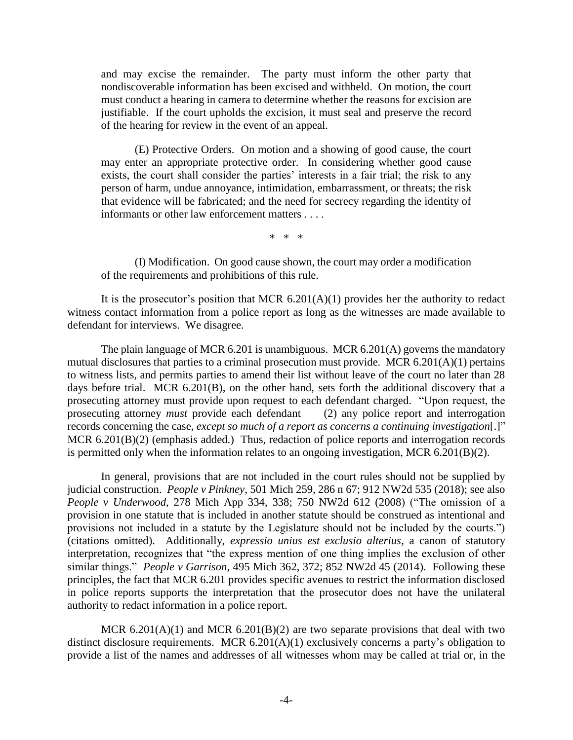and may excise the remainder. The party must inform the other party that nondiscoverable information has been excised and withheld. On motion, the court must conduct a hearing in camera to determine whether the reasons for excision are justifiable. If the court upholds the excision, it must seal and preserve the record of the hearing for review in the event of an appeal.

(E) Protective Orders. On motion and a showing of good cause, the court may enter an appropriate protective order. In considering whether good cause exists, the court shall consider the parties' interests in a fair trial; the risk to any person of harm, undue annoyance, intimidation, embarrassment, or threats; the risk that evidence will be fabricated; and the need for secrecy regarding the identity of informants or other law enforcement matters . . . .

\* \* \*

(I) Modification. On good cause shown, the court may order a modification of the requirements and prohibitions of this rule.

It is the prosecutor's position that MCR  $6.201(A)(1)$  provides her the authority to redact witness contact information from a police report as long as the witnesses are made available to defendant for interviews. We disagree.

The plain language of MCR 6.201 is unambiguous. MCR 6.201(A) governs the mandatory mutual disclosures that parties to a criminal prosecution must provide. MCR 6.201(A)(1) pertains to witness lists, and permits parties to amend their list without leave of the court no later than 28 days before trial. MCR 6.201(B), on the other hand, sets forth the additional discovery that a prosecuting attorney must provide upon request to each defendant charged. "Upon request, the prosecuting attorney *must* provide each defendant (2) any police report and interrogation records concerning the case, *except so much of a report as concerns a continuing investigation*[.]" MCR 6.201(B)(2) (emphasis added.) Thus, redaction of police reports and interrogation records is permitted only when the information relates to an ongoing investigation, MCR 6.201(B)(2).

In general, provisions that are not included in the court rules should not be supplied by judicial construction. *People v Pinkney*, 501 Mich 259, 286 n 67; 912 NW2d 535 (2018); see also *People v Underwood*, 278 Mich App 334, 338; 750 NW2d 612 (2008) ("The omission of a provision in one statute that is included in another statute should be construed as intentional and provisions not included in a statute by the Legislature should not be included by the courts.") (citations omitted). Additionally, *expressio unius est exclusio alterius*, a canon of statutory interpretation, recognizes that "the express mention of one thing implies the exclusion of other similar things." *People v Garrison*, 495 Mich 362, 372; 852 NW2d 45 (2014). Following these principles, the fact that MCR 6.201 provides specific avenues to restrict the information disclosed in police reports supports the interpretation that the prosecutor does not have the unilateral authority to redact information in a police report.

MCR  $6.201(A)(1)$  and MCR  $6.201(B)(2)$  are two separate provisions that deal with two distinct disclosure requirements. MCR 6.201(A)(1) exclusively concerns a party's obligation to provide a list of the names and addresses of all witnesses whom may be called at trial or, in the